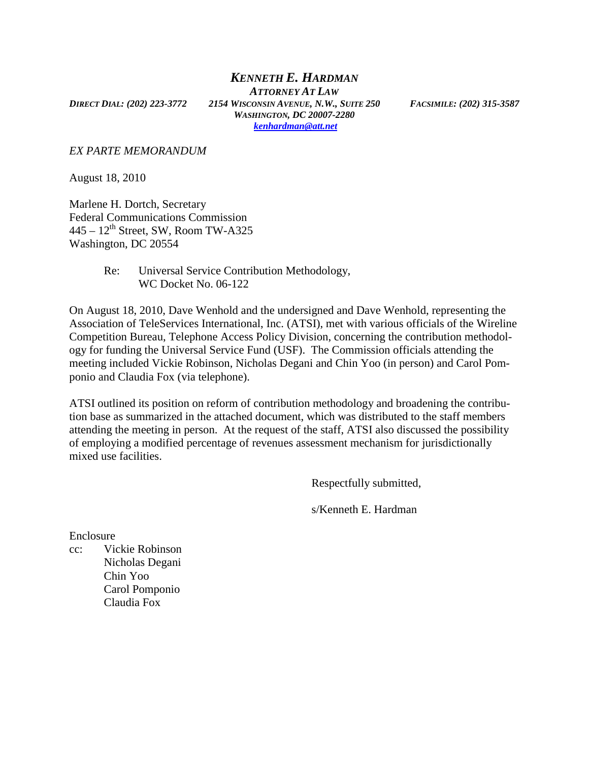*KENNETH E. HARDMAN ATTORNEY AT LAW DIRECT DIAL: (202) 223-3772 2154 WISCONSIN AVENUE, N.W., SUITE 250 FACSIMILE: (202) 315-3587 WASHINGTON, DC 20007-2280 kenhardman@att.net*

*EX PARTE MEMORANDUM* 

August 18, 2010

Marlene H. Dortch, Secretary Federal Communications Commission  $445 - 12$ <sup>th</sup> Street, SW, Room TW-A325 Washington, DC 20554

> Re: Universal Service Contribution Methodology, WC Docket No. 06-122

On August 18, 2010, Dave Wenhold and the undersigned and Dave Wenhold, representing the Association of TeleServices International, Inc. (ATSI), met with various officials of the Wireline Competition Bureau, Telephone Access Policy Division, concerning the contribution methodology for funding the Universal Service Fund (USF). The Commission officials attending the meeting included Vickie Robinson, Nicholas Degani and Chin Yoo (in person) and Carol Pomponio and Claudia Fox (via telephone).

ATSI outlined its position on reform of contribution methodology and broadening the contribution base as summarized in the attached document, which was distributed to the staff members attending the meeting in person. At the request of the staff, ATSI also discussed the possibility of employing a modified percentage of revenues assessment mechanism for jurisdictionally mixed use facilities.

Respectfully submitted,

s/Kenneth E. Hardman

Enclosure

cc: Vickie Robinson Nicholas Degani Chin Yoo Carol Pomponio Claudia Fox